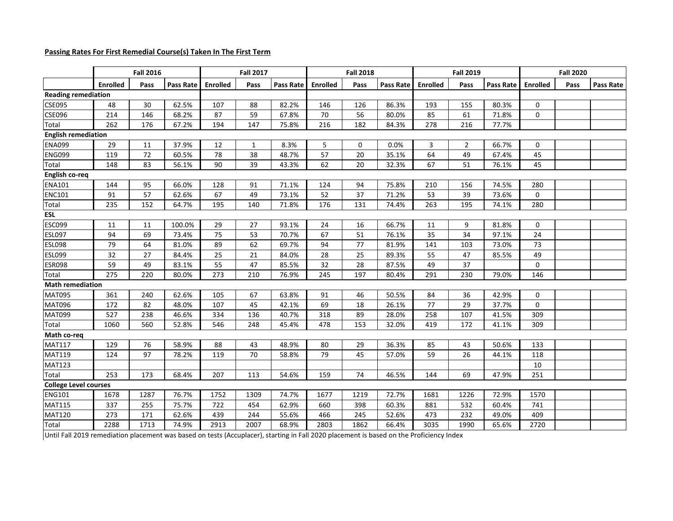## **Passing Rates For First Remedial Course(s) Taken In The First Term**

|                              | <b>Fall 2016</b> |      |           |          | <b>Fall 2017</b> |                  |          | <b>Fall 2018</b> |           |                 | <b>Fall 2019</b> |           | <b>Fall 2020</b> |      |           |
|------------------------------|------------------|------|-----------|----------|------------------|------------------|----------|------------------|-----------|-----------------|------------------|-----------|------------------|------|-----------|
|                              | <b>Enrolled</b>  | Pass | Pass Rate | Enrolled | Pass             | <b>Pass Rate</b> | Enrolled | Pass             | Pass Rate | <b>Enrolled</b> | Pass             | Pass Rate | <b>Enrolled</b>  | Pass | Pass Rate |
| <b>Reading remediation</b>   |                  |      |           |          |                  |                  |          |                  |           |                 |                  |           |                  |      |           |
| <b>CSE095</b>                | 48               | 30   | 62.5%     | 107      | 88               | 82.2%            | 146      | 126              | 86.3%     | 193             | 155              | 80.3%     | $\mathbf 0$      |      |           |
| <b>CSE096</b>                | 214              | 146  | 68.2%     | 87       | 59               | 67.8%            | 70       | 56               | 80.0%     | 85              | 61               | 71.8%     | $\mathbf 0$      |      |           |
| Total                        | 262              | 176  | 67.2%     | 194      | 147              | 75.8%            | 216      | 182              | 84.3%     | 278             | 216              | 77.7%     |                  |      |           |
| <b>English remediation</b>   |                  |      |           |          |                  |                  |          |                  |           |                 |                  |           |                  |      |           |
| <b>ENA099</b>                | 29               | 11   | 37.9%     | 12       | 1                | 8.3%             | 5        | 0                | 0.0%      | 3               | $\overline{2}$   | 66.7%     | $\mathbf 0$      |      |           |
| <b>ENG099</b>                | 119              | 72   | 60.5%     | 78       | 38               | 48.7%            | 57       | $20\,$           | 35.1%     | 64              | 49               | 67.4%     | 45               |      |           |
| Total                        | 148              | 83   | 56.1%     | 90       | 39               | 43.3%            | 62       | 20               | 32.3%     | 67              | 51               | 76.1%     | 45               |      |           |
| English co-req               |                  |      |           |          |                  |                  |          |                  |           |                 |                  |           |                  |      |           |
| <b>ENA101</b>                | 144              | 95   | 66.0%     | 128      | 91               | 71.1%            | 124      | 94               | 75.8%     | 210             | 156              | 74.5%     | 280              |      |           |
| <b>ENC101</b>                | 91               | 57   | 62.6%     | 67       | 49               | 73.1%            | 52       | 37               | 71.2%     | 53              | 39               | 73.6%     | $\mathbf 0$      |      |           |
| Total                        | 235              | 152  | 64.7%     | 195      | 140              | 71.8%            | 176      | 131              | 74.4%     | 263             | 195              | 74.1%     | 280              |      |           |
| ESL                          |                  |      |           |          |                  |                  |          |                  |           |                 |                  |           |                  |      |           |
| <b>ESC099</b>                | 11               | 11   | 100.0%    | 29       | 27               | 93.1%            | 24       | 16               | 66.7%     | 11              | 9                | 81.8%     | $\mathbf 0$      |      |           |
| <b>ESL097</b>                | 94               | 69   | 73.4%     | 75       | 53               | 70.7%            | 67       | 51               | 76.1%     | 35              | 34               | 97.1%     | 24               |      |           |
| <b>ESL098</b>                | 79               | 64   | 81.0%     | 89       | 62               | 69.7%            | 94       | 77               | 81.9%     | 141             | 103              | 73.0%     | 73               |      |           |
| <b>ESL099</b>                | 32               | 27   | 84.4%     | 25       | 21               | 84.0%            | 28       | 25               | 89.3%     | 55              | 47               | 85.5%     | 49               |      |           |
| <b>ESR098</b>                | 59               | 49   | 83.1%     | 55       | 47               | 85.5%            | 32       | 28               | 87.5%     | 49              | 37               |           | $\mathbf 0$      |      |           |
| Total                        | 275              | 220  | 80.0%     | 273      | 210              | 76.9%            | 245      | 197              | 80.4%     | 291             | 230              | 79.0%     | 146              |      |           |
| <b>Math remediation</b>      |                  |      |           |          |                  |                  |          |                  |           |                 |                  |           |                  |      |           |
| <b>MAT095</b>                | 361              | 240  | 62.6%     | 105      | 67               | 63.8%            | 91       | 46               | 50.5%     | 84              | 36               | 42.9%     | $\Omega$         |      |           |
| <b>MAT096</b>                | 172              | 82   | 48.0%     | 107      | 45               | 42.1%            | 69       | 18               | 26.1%     | 77              | 29               | 37.7%     | $\mathbf 0$      |      |           |
| <b>MAT099</b>                | 527              | 238  | 46.6%     | 334      | 136              | 40.7%            | 318      | 89               | 28.0%     | 258             | 107              | 41.5%     | 309              |      |           |
| Total                        | 1060             | 560  | 52.8%     | 546      | 248              | 45.4%            | 478      | 153              | 32.0%     | 419             | 172              | 41.1%     | 309              |      |           |
| Math co-req                  |                  |      |           |          |                  |                  |          |                  |           |                 |                  |           |                  |      |           |
| <b>MAT117</b>                | 129              | 76   | 58.9%     | 88       | 43               | 48.9%            | 80       | 29               | 36.3%     | 85              | 43               | 50.6%     | 133              |      |           |
| <b>MAT119</b>                | 124              | 97   | 78.2%     | 119      | 70               | 58.8%            | 79       | 45               | 57.0%     | 59              | 26               | 44.1%     | 118              |      |           |
| <b>MAT123</b>                |                  |      |           |          |                  |                  |          |                  |           |                 |                  |           | 10               |      |           |
| Total                        | 253              | 173  | 68.4%     | 207      | 113              | 54.6%            | 159      | 74               | 46.5%     | 144             | 69               | 47.9%     | 251              |      |           |
| <b>College Level courses</b> |                  |      |           |          |                  |                  |          |                  |           |                 |                  |           |                  |      |           |
| <b>ENG101</b>                | 1678             | 1287 | 76.7%     | 1752     | 1309             | 74.7%            | 1677     | 1219             | 72.7%     | 1681            | 1226             | 72.9%     | 1570             |      |           |
| <b>MAT115</b>                | 337              | 255  | 75.7%     | 722      | 454              | 62.9%            | 660      | 398              | 60.3%     | 881             | 532              | 60.4%     | 741              |      |           |
| <b>MAT120</b>                | 273              | 171  | 62.6%     | 439      | 244              | 55.6%            | 466      | 245              | 52.6%     | 473             | 232              | 49.0%     | 409              |      |           |
| Total                        | 2288             | 1713 | 74.9%     | 2913     | 2007             | 68.9%            | 2803     | 1862             | 66.4%     | 3035            | 1990             | 65.6%     | 2720             |      |           |

Until Fall 2019 remediation placement was based on tests (Accuplacer), starting in Fall 2020 placement is based on the Proficiency Index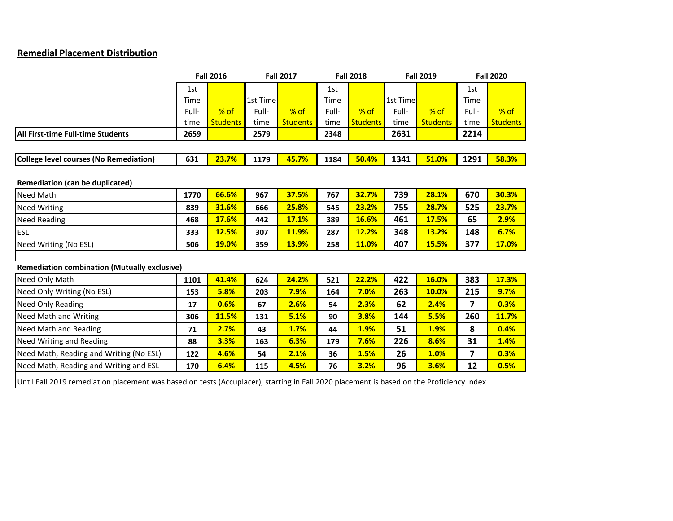## **Remedial Placement Distribution**

|                                                     |       | <b>Fall 2016</b> |          | <b>Fall 2017</b> |       | <b>Fall 2018</b> |          | <b>Fall 2019</b> | <b>Fall 2020</b> |                 |  |
|-----------------------------------------------------|-------|------------------|----------|------------------|-------|------------------|----------|------------------|------------------|-----------------|--|
|                                                     | 1st   |                  |          |                  | 1st   |                  |          |                  | 1st              |                 |  |
|                                                     | Time  |                  | 1st Time |                  | Time  |                  | 1st Time |                  | Time             |                 |  |
|                                                     | Full- | $%$ of           | Full-    | $%$ of           | Full- | $%$ of           | Full-    | $%$ of           | Full-            | $%$ of          |  |
|                                                     | time  | <b>Students</b>  | time     | <b>Students</b>  | time  | <b>Students</b>  | time     | <b>Students</b>  | time             | <b>Students</b> |  |
| All First-time Full-time Students                   | 2659  |                  | 2579     |                  | 2348  |                  | 2631     |                  | 2214             |                 |  |
|                                                     |       |                  |          |                  |       |                  |          |                  |                  |                 |  |
| College level courses (No Remediation)              | 631   | 23.7%            | 1179     | 45.7%            | 1184  | 50.4%            | 1341     | 51.0%            | 1291             | 58.3%           |  |
|                                                     |       |                  |          |                  |       |                  |          |                  |                  |                 |  |
| Remediation (can be duplicated)                     |       |                  |          |                  |       |                  |          |                  |                  |                 |  |
| Need Math                                           | 1770  | 66.6%            | 967      | 37.5%            | 767   | 32.7%            | 739      | 28.1%            | 670              | 30.3%           |  |
| <b>Need Writing</b>                                 | 839   | 31.6%            | 666      | 25.8%            | 545   | 23.2%            | 755      | 28.7%            | 525              | 23.7%           |  |
| <b>Need Reading</b>                                 | 468   | 17.6%            | 442      | 17.1%            | 389   | 16.6%            | 461      | 17.5%            | 65               | 2.9%            |  |
| <b>ESL</b>                                          | 333   | 12.5%            | 307      | 11.9%            | 287   | 12.2%            | 348      | 13.2%            | 148              | 6.7%            |  |
| Need Writing (No ESL)                               | 506   | 19.0%            | 359      | 13.9%            | 258   | 11.0%            | 407      | 15.5%            | 377              | 17.0%           |  |
|                                                     |       |                  |          |                  |       |                  |          |                  |                  |                 |  |
| <b>Remediation combination (Mutually exclusive)</b> |       |                  |          |                  |       |                  |          |                  |                  |                 |  |
| Need Only Math                                      | 1101  | 41.4%            | 624      | 24.2%            | 521   | 22.2%            | 422      | 16.0%            | 383              | 17.3%           |  |
| Need Only Writing (No ESL)                          | 153   | 5.8%             | 203      | 7.9%             | 164   | 7.0%             | 263      | 10.0%            | 215              | 9.7%            |  |
| Need Only Reading                                   | 17    | 0.6%             | 67       | 2.6%             | 54    | 2.3%             | 62       | 2.4%             | 7                | 0.3%            |  |
| Need Math and Writing                               | 306   | 11.5%            | 131      | 5.1%             | 90    | 3.8%             | 144      | 5.5%             | 260              | 11.7%           |  |
| Need Math and Reading                               | 71    | 2.7%             | 43       | 1.7%             | 44    | 1.9%             | 51       | 1.9%             | 8                | 0.4%            |  |
| <b>Need Writing and Reading</b>                     | 88    | 3.3%             | 163      | 6.3%             | 179   | 7.6%             | 226      | 8.6%             | 31               | 1.4%            |  |
| Need Math, Reading and Writing (No ESL)             | 122   | 4.6%             | 54       | 2.1%             | 36    | 1.5%             | 26       | 1.0%             | 7                | 0.3%            |  |
| Need Math, Reading and Writing and ESL              | 170   | 6.4%             | 115      | 4.5%             | 76    | 3.2%             | 96       | 3.6%             | 12               | 0.5%            |  |

Until Fall 2019 remediation placement was based on tests (Accuplacer), starting in Fall 2020 placement is based on the Proficiency Index